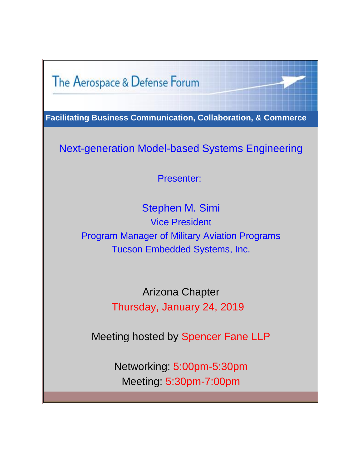The Aerospace & Defense Forum

**Facilitating Business Communication, Collaboration, & Commerce**

Next-generation Model-based Systems Engineering

Presenter:

Stephen M. Simi Vice President Program Manager of Military Aviation Programs Tucson Embedded Systems, Inc.

> Arizona Chapter Thursday, January 24, 2019

Meeting hosted by Spencer Fane LLP

Networking: 5:00pm-5:30pm Meeting: 5:30pm-7:00pm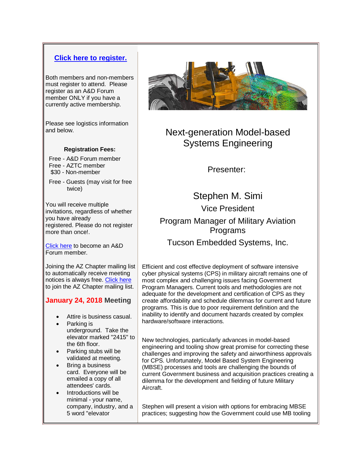## **[Click here to register.](https://adfazjan19.eventbrite.com/?utm_source=A%26D+Forum+Invite+%28AZ%29+%282019-01+Jan%29+%231&utm_campaign=adfaz+jan+19+%231&utm_medium=email)**

Both members and non-members must register to attend. Please register as an A&D Forum member ONLY if you have a currently active membership.

Please see logistics information and below.

#### **Registration Fees:**

- Free A&D Forum member
- Free AZTC member \$30 - Non-member
- 
- Free Guests (may visit for free twice)

You will receive multiple invitations, regardless of whether you have already registered. Please do not register more than once!.

[Click here](http://aerospacedefenseforum.org/membership-account/membership-levels/?utm_source=A%26D+Forum+Invite+%28AZ%29+%282019-01+Jan%29+%231&utm_campaign=adfaz+jan+19+%231&utm_medium=email) to become an A&D Forum member.

Joining the AZ Chapter mailing list to automatically receive meeting notices is always free[. Click here](http://aerospacedefenseforum.org/join-non-member-chapter-mailing-list/?utm_source=A%26D+Forum+Invite+%28AZ%29+%282019-01+Jan%29+%231&utm_campaign=adfaz+jan+19+%231&utm_medium=email) to join the AZ Chapter mailing list.

### **January 24, 2018 Meeting**

- Attire is business casual.
- Parking is underground. Take the elevator marked "2415" to the 6th floor.
- Parking stubs will be validated at meeting.
- Bring a business card. Everyone will be emailed a copy of all attendees' cards.
- Introductions will be minimal - your name, company, industry, and a 5 word "elevator



# Next-generation Model-based Systems Engineering

Presenter:

Stephen M. Simi Vice President Program Manager of Military Aviation Programs Tucson Embedded Systems, Inc.

Efficient and cost effective deployment of software intensive cyber physical systems (CPS) in military aircraft remains one of most complex and challenging issues facing Government Program Managers. Current tools and methodologies are not adequate for the development and certification of CPS as they create affordability and schedule dilemmas for current and future programs. This is due to poor requirement definition and the inability to identify and document hazards created by complex hardware/software interactions.

New technologies, particularly advances in model-based engineering and tooling show great promise for correcting these challenges and improving the safety and airworthiness approvals for CPS. Unfortunately, Model Based System Engineering (MBSE) processes and tools are challenging the bounds of current Government business and acquisition practices creating a dilemma for the development and fielding of future Military Aircraft.

Stephen will present a vision with options for embracing MBSE practices; suggesting how the Government could use MB tooling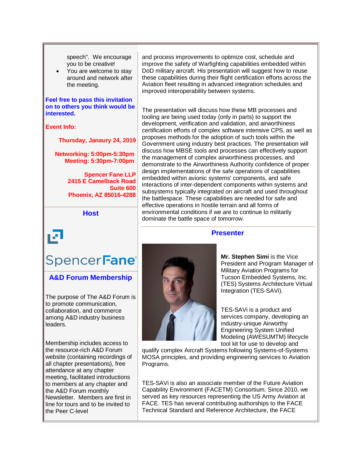speech". We encourage you to be creative!

You are welcome to stay around and network after the meeting.

#### **Feel free to pass this invitation on to others you think would be interested.**

#### **Event Info:**

**Thursday, Janaury 24, 2019**

**Networking: 5:00pm-5:30pm Meeting: 5:30pm-7:00pm**

> **Spencer Fane LLP 2415 E Camelback Road Suite 600 Phoenix, AZ 85016-4288**

> > **Host**

# SpencerFane<sup>®</sup>

**A&D Forum Membership**

The purpose of The A&D Forum is to promote communication, collaboration, and commerce among A&D industry business leaders.

Membership includes access to the resource-rich A&D Forum website (containing recordings of all chapter presentations), free attendance at any chapter meeting, facilitated introductions to members at any chapter and the A&D Forum monthly Newsletter. Members are first in line for tours and to be invited to the Peer C-level

and process improvements to optimize cost, schedule and improve the safety of Warfighting capabilities embedded within DoD military aircraft. His presentation will suggest how to reuse these capabilities during their flight certification efforts across the Aviation fleet resulting in advanced integration schedules and improved interoperability between systems.

The presentation will discuss how these MB processes and tooling are being used today (only in parts) to support the development, verification and validation, and airworthiness certification efforts of complex software intensive CPS, as well as proposes methods for the adoption of such tools within the Government using industry best practices. The presentation will discuss how MBSE tools and processes can effectively support the management of complex airworthiness processes, and demonstrate to the Airworthiness Authority confidence of proper design implementations of the safe operations of capabilities embedded within avionic systems' components, and safe interactions of inter-dependent components within systems and subsystems typically integrated on aircraft and used throughout the battlespace. These capabilities are needed for safe and effective operations in hostile terrain and all forms of environmental conditions if we are to continue to militarily dominate the battle space of tomorrow.

#### **Presenter**



**Mr. Stephen Simi** is the Vice President and Program Manager of Military Aviation Programs for Tucson Embedded Systems, Inc. (TES) Systems Architecture Virtual Integration (TES-SAVi).

TES-SAVi is a product and services company, developing an industry-unique Airworthy Engineering System Unified Modeling (AWESUMTM) lifecycle tool kit for use to develop and

qualify complex Aircraft Systems following Systems-of-Systems MOSA principles, and providing engineering services to Aviation Programs.

TES-SAVi is also an associate member of the Future Aviation Capability Environment (FACETM) Consortium. Since 2010, we served as key resources representing the US Army Aviation at FACE. TES has several contributing authorships to the FACE Technical Standard and Reference Architecture, the FACE